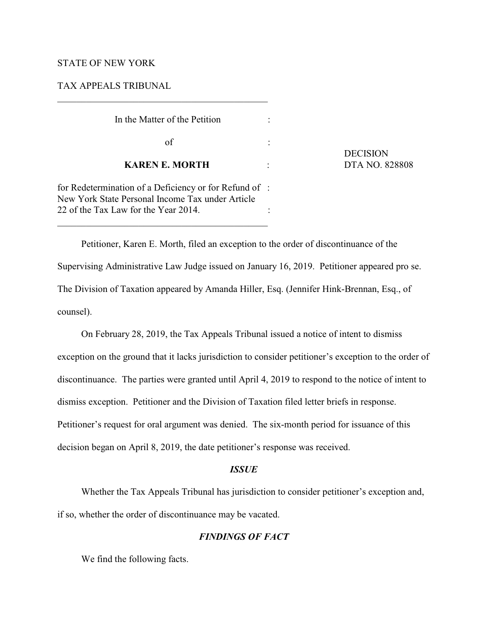## STATE OF NEW YORK

## TAX APPEALS TRIBUNAL

| In the Matter of the Petition                                                                                                          |  |
|----------------------------------------------------------------------------------------------------------------------------------------|--|
| οf                                                                                                                                     |  |
| <b>KAREN E. MORTH</b>                                                                                                                  |  |
| $\mathcal{C}$ p 1. $\mathcal{C}$ , $\mathcal{C}$ p $\mathcal{C}$ , $\mathcal{C}$ p $\mathcal{C}$ is a p $\mathcal{C}$ if $\mathcal{C}$ |  |

 DECISION **DTA NO. 828808** 

for Redetermination of a Deficiency or for Refund of : New York State Personal Income Tax under Article 22 of the Tax Law for the Year 2014.

Petitioner, Karen E. Morth, filed an exception to the order of discontinuance of the Supervising Administrative Law Judge issued on January 16, 2019. Petitioner appeared pro se. The Division of Taxation appeared by Amanda Hiller, Esq. (Jennifer Hink-Brennan, Esq., of counsel).

On February 28, 2019, the Tax Appeals Tribunal issued a notice of intent to dismiss exception on the ground that it lacks jurisdiction to consider petitioner's exception to the order of discontinuance. The parties were granted until April 4, 2019 to respond to the notice of intent to dismiss exception. Petitioner and the Division of Taxation filed letter briefs in response. Petitioner's request for oral argument was denied. The six-month period for issuance of this decision began on April 8, 2019, the date petitioner's response was received.

## *ISSUE*

Whether the Tax Appeals Tribunal has jurisdiction to consider petitioner's exception and, if so, whether the order of discontinuance may be vacated.

# *FINDINGS OF FACT*

We find the following facts.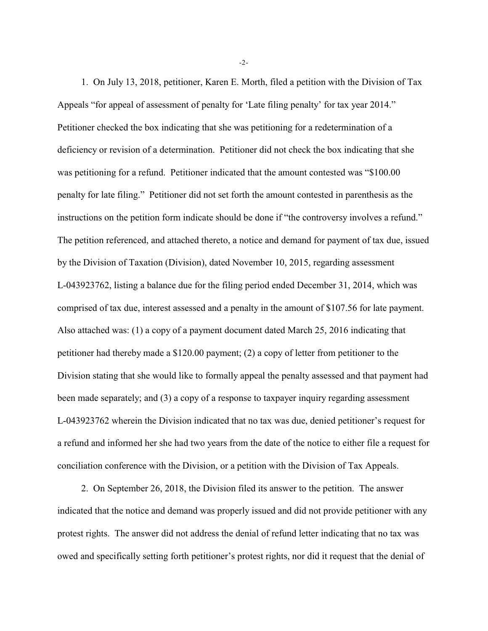1. On July 13, 2018, petitioner, Karen E. Morth, filed a petition with the Division of Tax Appeals "for appeal of assessment of penalty for 'Late filing penalty' for tax year 2014." Petitioner checked the box indicating that she was petitioning for a redetermination of a deficiency or revision of a determination. Petitioner did not check the box indicating that she was petitioning for a refund. Petitioner indicated that the amount contested was "\$100.00 penalty for late filing." Petitioner did not set forth the amount contested in parenthesis as the instructions on the petition form indicate should be done if "the controversy involves a refund." The petition referenced, and attached thereto, a notice and demand for payment of tax due, issued by the Division of Taxation (Division), dated November 10, 2015, regarding assessment L-043923762, listing a balance due for the filing period ended December 31, 2014, which was comprised of tax due, interest assessed and a penalty in the amount of \$107.56 for late payment. Also attached was: (1) a copy of a payment document dated March 25, 2016 indicating that petitioner had thereby made a \$120.00 payment; (2) a copy of letter from petitioner to the Division stating that she would like to formally appeal the penalty assessed and that payment had been made separately; and (3) a copy of a response to taxpayer inquiry regarding assessment L-043923762 wherein the Division indicated that no tax was due, denied petitioner's request for a refund and informed her she had two years from the date of the notice to either file a request for conciliation conference with the Division, or a petition with the Division of Tax Appeals.

2. On September 26, 2018, the Division filed its answer to the petition. The answer indicated that the notice and demand was properly issued and did not provide petitioner with any protest rights. The answer did not address the denial of refund letter indicating that no tax was owed and specifically setting forth petitioner's protest rights, nor did it request that the denial of

-2-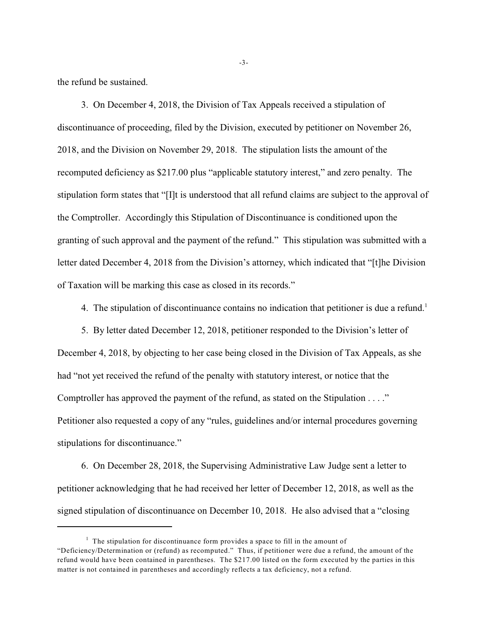the refund be sustained.

3. On December 4, 2018, the Division of Tax Appeals received a stipulation of discontinuance of proceeding, filed by the Division, executed by petitioner on November 26, 2018, and the Division on November 29, 2018. The stipulation lists the amount of the recomputed deficiency as \$217.00 plus "applicable statutory interest," and zero penalty. The stipulation form states that "[I]t is understood that all refund claims are subject to the approval of the Comptroller. Accordingly this Stipulation of Discontinuance is conditioned upon the granting of such approval and the payment of the refund." This stipulation was submitted with a letter dated December 4, 2018 from the Division's attorney, which indicated that "[t]he Division of Taxation will be marking this case as closed in its records."

4. The stipulation of discontinuance contains no indication that petitioner is due a refund.<sup>1</sup>

5. By letter dated December 12, 2018, petitioner responded to the Division's letter of December 4, 2018, by objecting to her case being closed in the Division of Tax Appeals, as she had "not yet received the refund of the penalty with statutory interest, or notice that the Comptroller has approved the payment of the refund, as stated on the Stipulation . . . ." Petitioner also requested a copy of any "rules, guidelines and/or internal procedures governing stipulations for discontinuance."

6. On December 28, 2018, the Supervising Administrative Law Judge sent a letter to petitioner acknowledging that he had received her letter of December 12, 2018, as well as the signed stipulation of discontinuance on December 10, 2018. He also advised that a "closing

-3-

 $<sup>1</sup>$  The stipulation for discontinuance form provides a space to fill in the amount of</sup> "Deficiency/Determination or (refund) as recomputed." Thus, if petitioner were due a refund, the amount of the refund would have been contained in parentheses. The \$217.00 listed on the form executed by the parties in this matter is not contained in parentheses and accordingly reflects a tax deficiency, not a refund.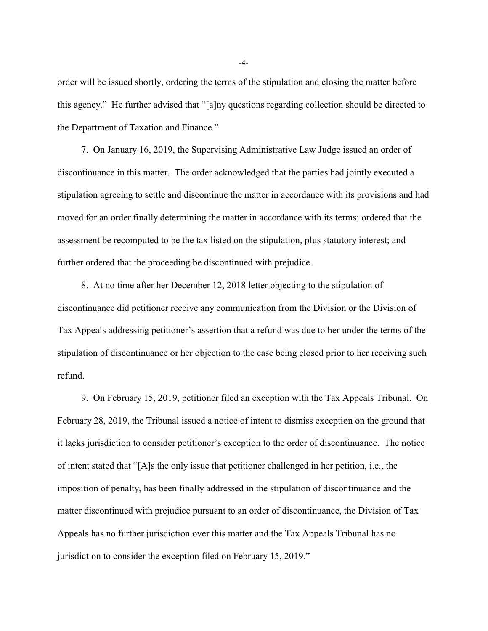order will be issued shortly, ordering the terms of the stipulation and closing the matter before this agency." He further advised that "[a]ny questions regarding collection should be directed to the Department of Taxation and Finance."

7. On January 16, 2019, the Supervising Administrative Law Judge issued an order of discontinuance in this matter. The order acknowledged that the parties had jointly executed a stipulation agreeing to settle and discontinue the matter in accordance with its provisions and had moved for an order finally determining the matter in accordance with its terms; ordered that the assessment be recomputed to be the tax listed on the stipulation, plus statutory interest; and further ordered that the proceeding be discontinued with prejudice.

8. At no time after her December 12, 2018 letter objecting to the stipulation of discontinuance did petitioner receive any communication from the Division or the Division of Tax Appeals addressing petitioner's assertion that a refund was due to her under the terms of the stipulation of discontinuance or her objection to the case being closed prior to her receiving such refund.

9. On February 15, 2019, petitioner filed an exception with the Tax Appeals Tribunal. On February 28, 2019, the Tribunal issued a notice of intent to dismiss exception on the ground that it lacks jurisdiction to consider petitioner's exception to the order of discontinuance. The notice of intent stated that "[A]s the only issue that petitioner challenged in her petition, i.e., the imposition of penalty, has been finally addressed in the stipulation of discontinuance and the matter discontinued with prejudice pursuant to an order of discontinuance, the Division of Tax Appeals has no further jurisdiction over this matter and the Tax Appeals Tribunal has no jurisdiction to consider the exception filed on February 15, 2019."

-4-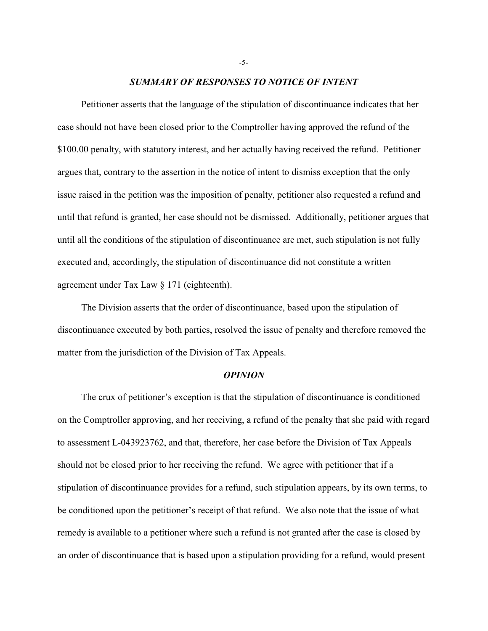### *SUMMARY OF RESPONSES TO NOTICE OF INTENT*

Petitioner asserts that the language of the stipulation of discontinuance indicates that her case should not have been closed prior to the Comptroller having approved the refund of the \$100.00 penalty, with statutory interest, and her actually having received the refund. Petitioner argues that, contrary to the assertion in the notice of intent to dismiss exception that the only issue raised in the petition was the imposition of penalty, petitioner also requested a refund and until that refund is granted, her case should not be dismissed. Additionally, petitioner argues that until all the conditions of the stipulation of discontinuance are met, such stipulation is not fully executed and, accordingly, the stipulation of discontinuance did not constitute a written agreement under Tax Law § 171 (eighteenth).

The Division asserts that the order of discontinuance, based upon the stipulation of discontinuance executed by both parties, resolved the issue of penalty and therefore removed the matter from the jurisdiction of the Division of Tax Appeals.

#### *OPINION*

The crux of petitioner's exception is that the stipulation of discontinuance is conditioned on the Comptroller approving, and her receiving, a refund of the penalty that she paid with regard to assessment L-043923762, and that, therefore, her case before the Division of Tax Appeals should not be closed prior to her receiving the refund. We agree with petitioner that if a stipulation of discontinuance provides for a refund, such stipulation appears, by its own terms, to be conditioned upon the petitioner's receipt of that refund. We also note that the issue of what remedy is available to a petitioner where such a refund is not granted after the case is closed by an order of discontinuance that is based upon a stipulation providing for a refund, would present

-5-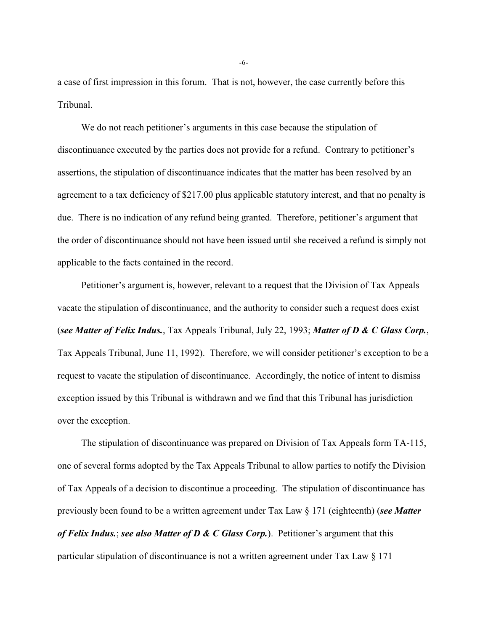a case of first impression in this forum. That is not, however, the case currently before this Tribunal.

We do not reach petitioner's arguments in this case because the stipulation of discontinuance executed by the parties does not provide for a refund. Contrary to petitioner's assertions, the stipulation of discontinuance indicates that the matter has been resolved by an agreement to a tax deficiency of \$217.00 plus applicable statutory interest, and that no penalty is due. There is no indication of any refund being granted. Therefore, petitioner's argument that the order of discontinuance should not have been issued until she received a refund is simply not applicable to the facts contained in the record.

Petitioner's argument is, however, relevant to a request that the Division of Tax Appeals vacate the stipulation of discontinuance, and the authority to consider such a request does exist (*see Matter of Felix Indus.*, Tax Appeals Tribunal, July 22, 1993; *Matter of D & C Glass Corp.*, Tax Appeals Tribunal, June 11, 1992). Therefore, we will consider petitioner's exception to be a request to vacate the stipulation of discontinuance. Accordingly, the notice of intent to dismiss exception issued by this Tribunal is withdrawn and we find that this Tribunal has jurisdiction over the exception.

The stipulation of discontinuance was prepared on Division of Tax Appeals form TA-115, one of several forms adopted by the Tax Appeals Tribunal to allow parties to notify the Division of Tax Appeals of a decision to discontinue a proceeding. The stipulation of discontinuance has previously been found to be a written agreement under Tax Law § 171 (eighteenth) (*see Matter of Felix Indus.*; *see also Matter of D & C Glass Corp.*). Petitioner's argument that this particular stipulation of discontinuance is not a written agreement under Tax Law § 171

-6-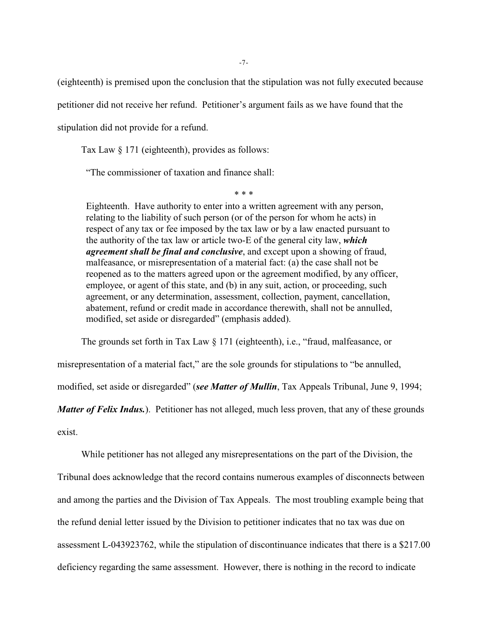(eighteenth) is premised upon the conclusion that the stipulation was not fully executed because petitioner did not receive her refund. Petitioner's argument fails as we have found that the stipulation did not provide for a refund.

[Tax Law](http://www.westlaw.com/Link/Document/FullText?findType=L&pubNum=1000144&cite=NYTXS171&originatingDoc=I014442ba98a711e7bfb79a463a4b3bc7&refType=LQ&originationContext=document&vr=3.0&rs=cblt1.0&transitionType=DocumentItem&contextData=(sc.Search)) § 171 (eighteenth), provides as follows:

"The commissioner of taxation and finance shall:

\* \* \*

Eighteenth. Have authority to enter into a written agreement with any person, relating to the liability of such person (or of the person for whom he acts) in respect of any tax or fee imposed by the tax law or by a law enacted pursuant to the authority of the tax law or article two-E of the general city law, *which agreement shall be final and conclusive*, and except upon a showing of fraud, malfeasance, or misrepresentation of a material fact: (a) the case shall not be reopened as to the matters agreed upon or the agreement modified, by any officer, employee, or agent of this state, and (b) in any suit, action, or proceeding, such agreement, or any determination, assessment, collection, payment, cancellation, abatement, refund or credit made in accordance therewith, shall not be annulled, modified, set aside or disregarded" (emphasis added).

The grounds set forth in [Tax Law § 171 \(eighteenth\)](http://www.westlaw.com/Link/Document/FullText?findType=L&pubNum=1000144&cite=NYTXS171&originatingDoc=I014442ba98a711e7bfb79a463a4b3bc7&refType=LQ&originationContext=document&vr=3.0&rs=cblt1.0&transitionType=DocumentItem&contextData=(sc.Search)), i.e., "fraud, malfeasance, or

misrepresentation of a material fact," are the sole grounds for stipulations to "be annulled,

modified, set aside or disregarded" (*see Matter of Mullin*, Tax Appeals Tribunal, June 9, 1994;

*Matter of Felix Indus.*). Petitioner has not alleged, much less proven, that any of these grounds exist.

While petitioner has not alleged any misrepresentations on the part of the Division, the Tribunal does acknowledge that the record contains numerous examples of disconnects between and among the parties and the Division of Tax Appeals. The most troubling example being that the refund denial letter issued by the Division to petitioner indicates that no tax was due on assessment L-043923762, while the stipulation of discontinuance indicates that there is a \$217.00 deficiency regarding the same assessment. However, there is nothing in the record to indicate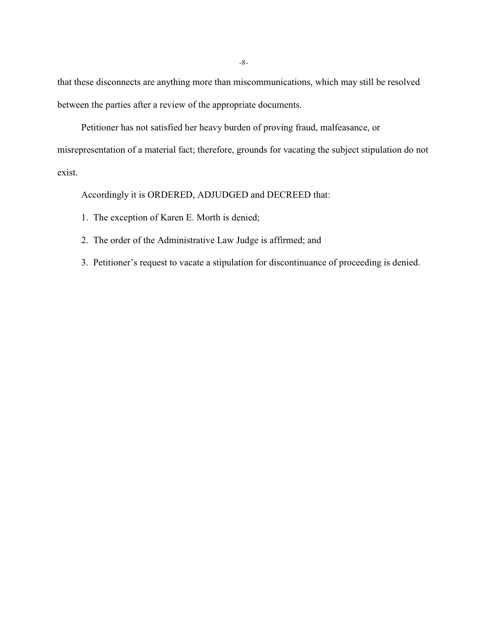that these disconnects are anything more than miscommunications, which may still be resolved between the parties after a review of the appropriate documents.

Petitioner has not satisfied her heavy burden of proving fraud, malfeasance, or

misrepresentation of a material fact; therefore, grounds for vacating the subject stipulation do not exist.

Accordingly it is ORDERED, ADJUDGED and DECREED that:

- 1. The exception of Karen E. Morth is denied;
- 2. The order of the Administrative Law Judge is affirmed; and
- 3. Petitioner's request to vacate a stipulation for discontinuance of proceeding is denied.